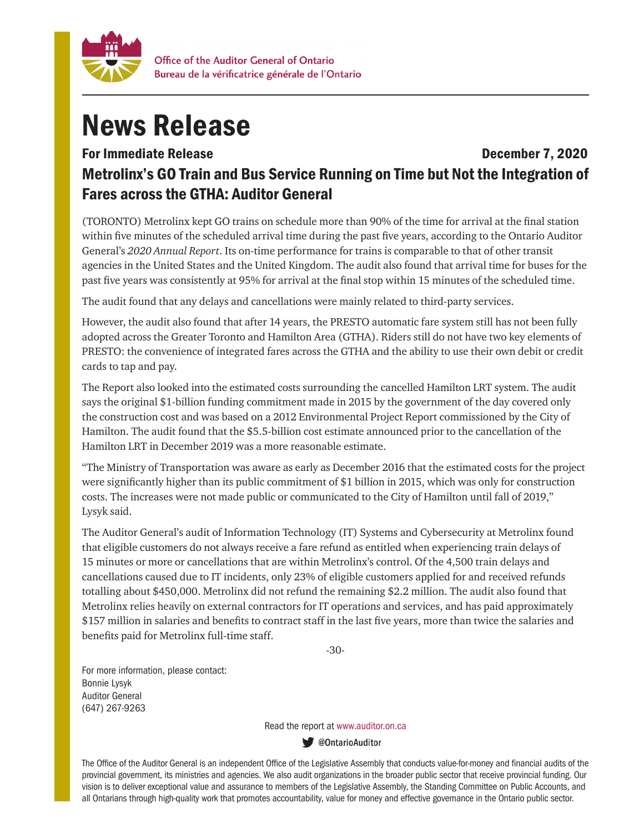

## News Release

## For Immediate Release **December 7, 2020** Metrolinx's GO Train and Bus Service Running on Time but Not the Integration of Fares across the GTHA: Auditor General

(TORONTO) Metrolinx kept GO trains on schedule more than 90% of the time for arrival at the final station within five minutes of the scheduled arrival time during the past five years, according to the Ontario Auditor General's *2020 Annual Report*. Its on-time performance for trains is comparable to that of other transit agencies in the United States and the United Kingdom. The audit also found that arrival time for buses for the past five years was consistently at 95% for arrival at the final stop within 15 minutes of the scheduled time.

The audit found that any delays and cancellations were mainly related to third-party services.

However, the audit also found that after 14 years, the PRESTO automatic fare system still has not been fully adopted across the Greater Toronto and Hamilton Area (GTHA). Riders still do not have two key elements of PRESTO: the convenience of integrated fares across the GTHA and the ability to use their own debit or credit cards to tap and pay.

The Report also looked into the estimated costs surrounding the cancelled Hamilton LRT system. The audit says the original \$1-billion funding commitment made in 2015 by the government of the day covered only the construction cost and was based on a 2012 Environmental Project Report commissioned by the City of Hamilton. The audit found that the \$5.5-billion cost estimate announced prior to the cancellation of the Hamilton LRT in December 2019 was a more reasonable estimate.

"The Ministry of Transportation was aware as early as December 2016 that the estimated costs for the project were significantly higher than its public commitment of \$1 billion in 2015, which was only for construction costs. The increases were not made public or communicated to the City of Hamilton until fall of 2019," Lysyk said.

The Auditor General's audit of Information Technology (IT) Systems and Cybersecurity at Metrolinx found that eligible customers do not always receive a fare refund as entitled when experiencing train delays of 15 minutes or more or cancellations that are within Metrolinx's control. Of the 4,500 train delays and cancellations caused due to IT incidents, only 23% of eligible customers applied for and received refunds totalling about \$450,000. Metrolinx did not refund the remaining \$2.2 million. The audit also found that Metrolinx relies heavily on external contractors for IT operations and services, and has paid approximately \$157 million in salaries and benefits to contract staff in the last five years, more than twice the salaries and benefits paid for Metrolinx full-time staff.

-30-

For more information, please contact: Bonnie Lysyk Auditor General (647) 267-9263

Read the report at www.auditor.on.ca

**W** @OntarioAuditor

The Office of the Auditor General is an independent Office of the Legislative Assembly that conducts value-for-money and financial audits of the provincial government, its ministries and agencies. We also audit organizations in the broader public sector that receive provincial funding. Our vision is to deliver exceptional value and assurance to members of the Legislative Assembly, the Standing Committee on Public Accounts, and all Ontarians through high-quality work that promotes accountability, value for money and effective governance in the Ontario public sector.